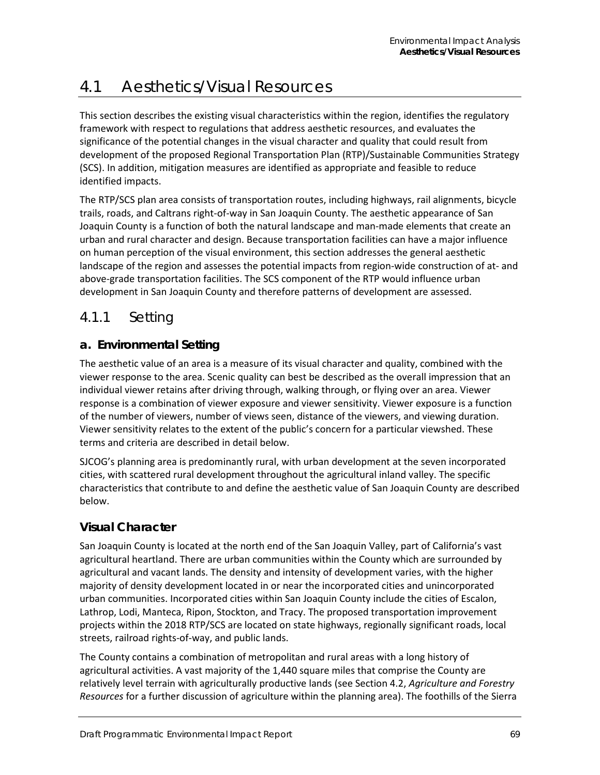# 4.1 Aesthetics/Visual Resources

This section describes the existing visual characteristics within the region, identifies the regulatory framework with respect to regulations that address aesthetic resources, and evaluates the significance of the potential changes in the visual character and quality that could result from development of the proposed Regional Transportation Plan (RTP)/Sustainable Communities Strategy (SCS). In addition, mitigation measures are identified as appropriate and feasible to reduce identified impacts.

The RTP/SCS plan area consists of transportation routes, including highways, rail alignments, bicycle trails, roads, and Caltrans right-of-way in San Joaquin County. The aesthetic appearance of San Joaquin County is a function of both the natural landscape and man-made elements that create an urban and rural character and design. Because transportation facilities can have a major influence on human perception of the visual environment, this section addresses the general aesthetic landscape of the region and assesses the potential impacts from region-wide construction of at- and above-grade transportation facilities. The SCS component of the RTP would influence urban development in San Joaquin County and therefore patterns of development are assessed.

# 4.1.1 Setting

## **a. Environmental Setting**

The aesthetic value of an area is a measure of its visual character and quality, combined with the viewer response to the area. Scenic quality can best be described as the overall impression that an individual viewer retains after driving through, walking through, or flying over an area. Viewer response is a combination of viewer exposure and viewer sensitivity. Viewer exposure is a function of the number of viewers, number of views seen, distance of the viewers, and viewing duration. Viewer sensitivity relates to the extent of the public's concern for a particular viewshed. These terms and criteria are described in detail below.

SJCOG's planning area is predominantly rural, with urban development at the seven incorporated cities, with scattered rural development throughout the agricultural inland valley. The specific characteristics that contribute to and define the aesthetic value of San Joaquin County are described below.

### **Visual Character**

San Joaquin County is located at the north end of the San Joaquin Valley, part of California's vast agricultural heartland. There are urban communities within the County which are surrounded by agricultural and vacant lands. The density and intensity of development varies, with the higher majority of density development located in or near the incorporated cities and unincorporated urban communities. Incorporated cities within San Joaquin County include the cities of Escalon, Lathrop, Lodi, Manteca, Ripon, Stockton, and Tracy. The proposed transportation improvement projects within the 2018 RTP/SCS are located on state highways, regionally significant roads, local streets, railroad rights-of-way, and public lands.

The County contains a combination of metropolitan and rural areas with a long history of agricultural activities. A vast majority of the 1,440 square miles that comprise the County are relatively level terrain with agriculturally productive lands (see Section 4.2, *Agriculture and Forestry Resources* for a further discussion of agriculture within the planning area). The foothills of the Sierra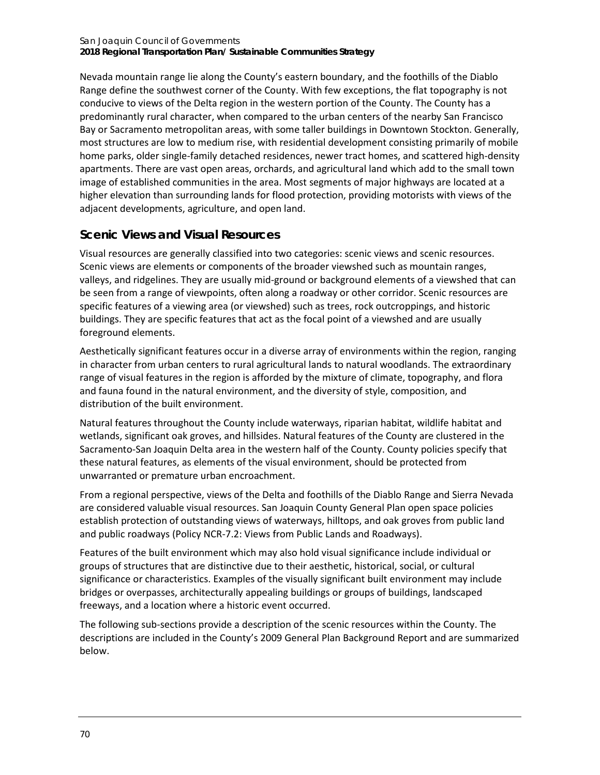Nevada mountain range lie along the County's eastern boundary, and the foothills of the Diablo Range define the southwest corner of the County. With few exceptions, the flat topography is not conducive to views of the Delta region in the western portion of the County. The County has a predominantly rural character, when compared to the urban centers of the nearby San Francisco Bay or Sacramento metropolitan areas, with some taller buildings in Downtown Stockton. Generally, most structures are low to medium rise, with residential development consisting primarily of mobile home parks, older single-family detached residences, newer tract homes, and scattered high-density apartments. There are vast open areas, orchards, and agricultural land which add to the small town image of established communities in the area. Most segments of major highways are located at a higher elevation than surrounding lands for flood protection, providing motorists with views of the adjacent developments, agriculture, and open land.

## **Scenic Views and Visual Resources**

Visual resources are generally classified into two categories: scenic views and scenic resources. Scenic views are elements or components of the broader viewshed such as mountain ranges, valleys, and ridgelines. They are usually mid-ground or background elements of a viewshed that can be seen from a range of viewpoints, often along a roadway or other corridor. Scenic resources are specific features of a viewing area (or viewshed) such as trees, rock outcroppings, and historic buildings. They are specific features that act as the focal point of a viewshed and are usually foreground elements.

Aesthetically significant features occur in a diverse array of environments within the region, ranging in character from urban centers to rural agricultural lands to natural woodlands. The extraordinary range of visual features in the region is afforded by the mixture of climate, topography, and flora and fauna found in the natural environment, and the diversity of style, composition, and distribution of the built environment.

Natural features throughout the County include waterways, riparian habitat, wildlife habitat and wetlands, significant oak groves, and hillsides. Natural features of the County are clustered in the Sacramento-San Joaquin Delta area in the western half of the County. County policies specify that these natural features, as elements of the visual environment, should be protected from unwarranted or premature urban encroachment.

From a regional perspective, views of the Delta and foothills of the Diablo Range and Sierra Nevada are considered valuable visual resources. San Joaquin County General Plan open space policies establish protection of outstanding views of waterways, hilltops, and oak groves from public land and public roadways (Policy NCR-7.2: Views from Public Lands and Roadways).

Features of the built environment which may also hold visual significance include individual or groups of structures that are distinctive due to their aesthetic, historical, social, or cultural significance or characteristics. Examples of the visually significant built environment may include bridges or overpasses, architecturally appealing buildings or groups of buildings, landscaped freeways, and a location where a historic event occurred.

The following sub-sections provide a description of the scenic resources within the County. The descriptions are included in the County's 2009 General Plan Background Report and are summarized below.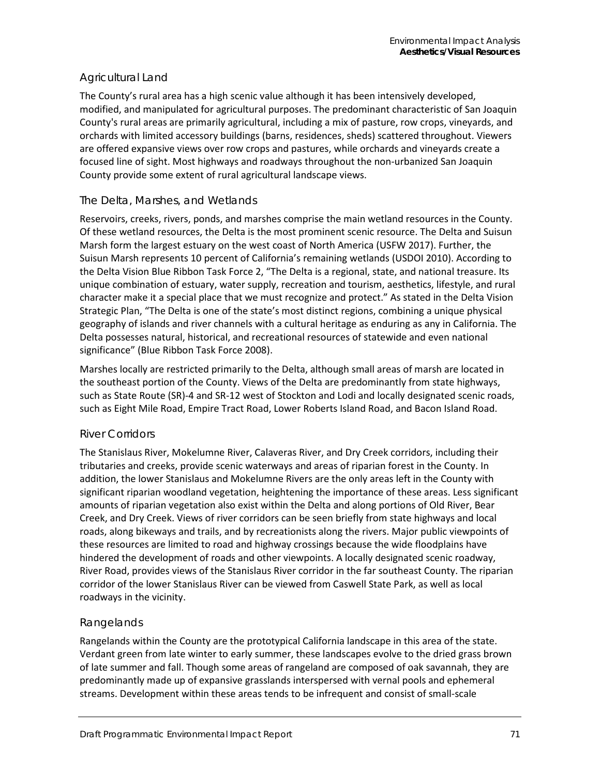### Agricultural Land

The County's rural area has a high scenic value although it has been intensively developed, modified, and manipulated for agricultural purposes. The predominant characteristic of San Joaquin County's rural areas are primarily agricultural, including a mix of pasture, row crops, vineyards, and orchards with limited accessory buildings (barns, residences, sheds) scattered throughout. Viewers are offered expansive views over row crops and pastures, while orchards and vineyards create a focused line of sight. Most highways and roadways throughout the non-urbanized San Joaquin County provide some extent of rural agricultural landscape views.

### *The Delta, Marshes, and Wetlands*

Reservoirs, creeks, rivers, ponds, and marshes comprise the main wetland resources in the County. Of these wetland resources, the Delta is the most prominent scenic resource. The Delta and Suisun Marsh form the largest estuary on the west coast of North America (USFW 2017). Further, the Suisun Marsh represents 10 percent of California's remaining wetlands (USDOI 2010). According to the Delta Vision Blue Ribbon Task Force 2, "The Delta is a regional, state, and national treasure. Its unique combination of estuary, water supply, recreation and tourism, aesthetics, lifestyle, and rural character make it a special place that we must recognize and protect." As stated in the Delta Vision Strategic Plan, "The Delta is one of the state's most distinct regions, combining a unique physical geography of islands and river channels with a cultural heritage as enduring as any in California. The Delta possesses natural, historical, and recreational resources of statewide and even national significance" (Blue Ribbon Task Force 2008).

Marshes locally are restricted primarily to the Delta, although small areas of marsh are located in the southeast portion of the County. Views of the Delta are predominantly from state highways, such as State Route (SR)-4 and SR-12 west of Stockton and Lodi and locally designated scenic roads, such as Eight Mile Road, Empire Tract Road, Lower Roberts Island Road, and Bacon Island Road.

### *River Corridors*

The Stanislaus River, Mokelumne River, Calaveras River, and Dry Creek corridors, including their tributaries and creeks, provide scenic waterways and areas of riparian forest in the County. In addition, the lower Stanislaus and Mokelumne Rivers are the only areas left in the County with significant riparian woodland vegetation, heightening the importance of these areas. Less significant amounts of riparian vegetation also exist within the Delta and along portions of Old River, Bear Creek, and Dry Creek. Views of river corridors can be seen briefly from state highways and local roads, along bikeways and trails, and by recreationists along the rivers. Major public viewpoints of these resources are limited to road and highway crossings because the wide floodplains have hindered the development of roads and other viewpoints. A locally designated scenic roadway, River Road, provides views of the Stanislaus River corridor in the far southeast County. The riparian corridor of the lower Stanislaus River can be viewed from Caswell State Park, as well as local roadways in the vicinity.

### *Rangelands*

Rangelands within the County are the prototypical California landscape in this area of the state. Verdant green from late winter to early summer, these landscapes evolve to the dried grass brown of late summer and fall. Though some areas of rangeland are composed of oak savannah, they are predominantly made up of expansive grasslands interspersed with vernal pools and ephemeral streams. Development within these areas tends to be infrequent and consist of small-scale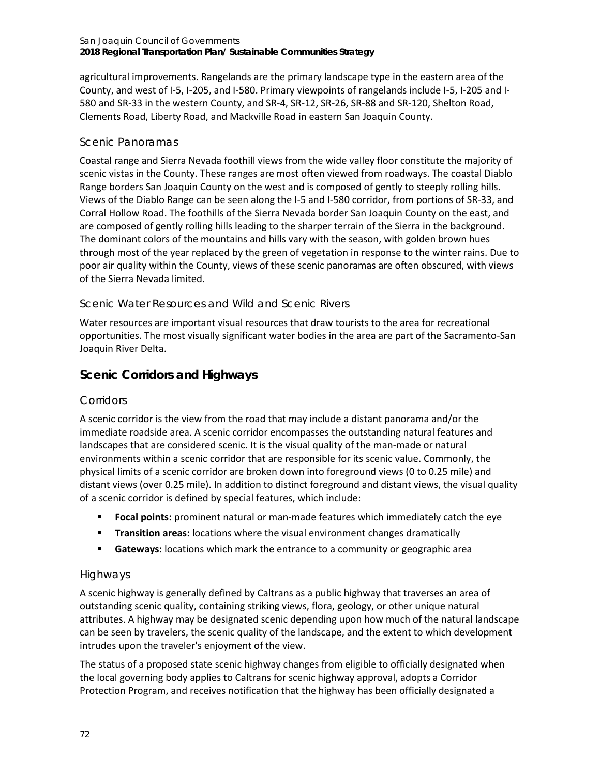agricultural improvements. Rangelands are the primary landscape type in the eastern area of the County, and west of I-5, I-205, and I-580. Primary viewpoints of rangelands include I-5, I-205 and I-580 and SR-33 in the western County, and SR-4, SR-12, SR-26, SR-88 and SR-120, Shelton Road, Clements Road, Liberty Road, and Mackville Road in eastern San Joaquin County.

### *Scenic Panoramas*

Coastal range and Sierra Nevada foothill views from the wide valley floor constitute the majority of scenic vistas in the County. These ranges are most often viewed from roadways. The coastal Diablo Range borders San Joaquin County on the west and is composed of gently to steeply rolling hills. Views of the Diablo Range can be seen along the I-5 and I-580 corridor, from portions of SR-33, and Corral Hollow Road. The foothills of the Sierra Nevada border San Joaquin County on the east, and are composed of gently rolling hills leading to the sharper terrain of the Sierra in the background. The dominant colors of the mountains and hills vary with the season, with golden brown hues through most of the year replaced by the green of vegetation in response to the winter rains. Due to poor air quality within the County, views of these scenic panoramas are often obscured, with views of the Sierra Nevada limited.

### *Scenic Water Resources and Wild and Scenic Rivers*

Water resources are important visual resources that draw tourists to the area for recreational opportunities. The most visually significant water bodies in the area are part of the Sacramento-San Joaquin River Delta.

## **Scenic Corridors and Highways**

### *Corridors*

A scenic corridor is the view from the road that may include a distant panorama and/or the immediate roadside area. A scenic corridor encompasses the outstanding natural features and landscapes that are considered scenic. It is the visual quality of the man-made or natural environments within a scenic corridor that are responsible for its scenic value. Commonly, the physical limits of a scenic corridor are broken down into foreground views (0 to 0.25 mile) and distant views (over 0.25 mile). In addition to distinct foreground and distant views, the visual quality of a scenic corridor is defined by special features, which include:

- **Focal points:** prominent natural or man-made features which immediately catch the eye
- **Transition areas:** locations where the visual environment changes dramatically
- **Gateways:** locations which mark the entrance to a community or geographic area

### *Highways*

A scenic highway is generally defined by Caltrans as a public highway that traverses an area of outstanding scenic quality, containing striking views, flora, geology, or other unique natural attributes. A highway may be designated scenic depending upon how much of the natural landscape can be seen by travelers, the scenic quality of the landscape, and the extent to which development intrudes upon the traveler's enjoyment of the view.

The status of a proposed state scenic highway changes from eligible to officially designated when the local governing body applies to Caltrans for scenic highway approval, adopts a Corridor Protection Program, and receives notification that the highway has been officially designated a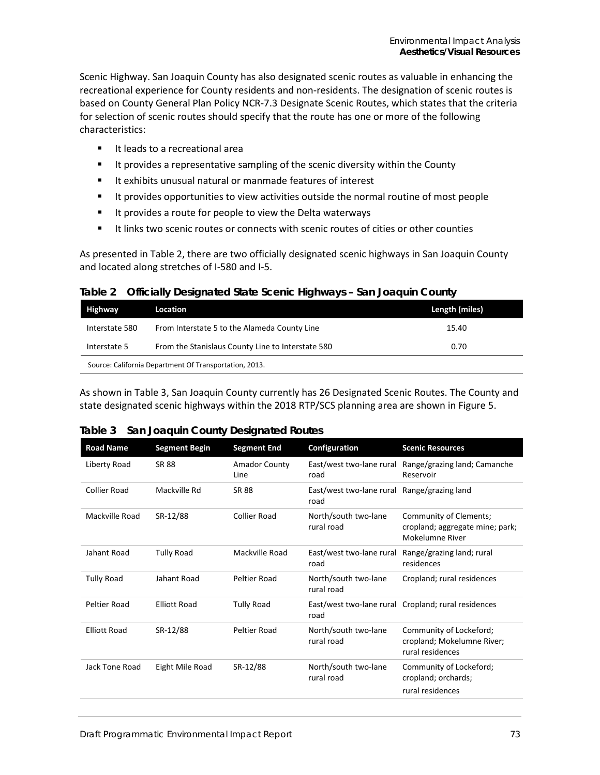Scenic Highway. San Joaquin County has also designated scenic routes as valuable in enhancing the recreational experience for County residents and non-residents. The designation of scenic routes is based on County General Plan Policy NCR-7.3 Designate Scenic Routes, which states that the criteria for selection of scenic routes should specify that the route has one or more of the following characteristics:

- It leads to a recreational area
- **If all provides a representative sampling of the scenic diversity within the County**
- It exhibits unusual natural or manmade features of interest
- It provides opportunities to view activities outside the normal routine of most people
- **If provides a route for people to view the Delta waterways**
- It links two scenic routes or connects with scenic routes of cities or other counties

As presented i[n Table 2,](#page-4-0) there are two officially designated scenic highways in San Joaquin County and located along stretches of I-580 and I-5.

<span id="page-4-0"></span>

| Table 2 Officially Designated State Scenic Highways - San Joaquin County |  |
|--------------------------------------------------------------------------|--|
|                                                                          |  |

| Highway                                                | Location                                          | Length (miles) |
|--------------------------------------------------------|---------------------------------------------------|----------------|
| Interstate 580                                         | From Interstate 5 to the Alameda County Line      | 15.40          |
| Interstate 5                                           | From the Stanislaus County Line to Interstate 580 | 0.70           |
| Source: California Department Of Transportation, 2013. |                                                   |                |

As shown in [Table 3,](#page-4-1) San Joaquin County currently has 26 Designated Scenic Routes. The County and state designated scenic highways within the 2018 RTP/SCS planning area are shown in [Figure 5.](#page-6-0)

### <span id="page-4-1"></span>**Table 3 San Joaquin County Designated Routes**

| <b>Road Name</b>    | <b>Segment Begin</b> | <b>Segment End</b>           | Configuration                      | <b>Scenic Resources</b>                                                      |
|---------------------|----------------------|------------------------------|------------------------------------|------------------------------------------------------------------------------|
| Liberty Road        | <b>SR 88</b>         | <b>Amador County</b><br>Line | East/west two-lane rural<br>road   | Range/grazing land; Camanche<br>Reservoir                                    |
| <b>Collier Road</b> | Mackville Rd         | <b>SR 88</b>                 | East/west two-lane rural<br>road   | Range/grazing land                                                           |
| Mackville Road      | SR-12/88             | Collier Road                 | North/south two-lane<br>rural road | Community of Clements;<br>cropland; aggregate mine; park;<br>Mokelumne River |
| Jahant Road         | <b>Tully Road</b>    | Mackville Road               | East/west two-lane rural<br>road   | Range/grazing land; rural<br>residences                                      |
| <b>Tully Road</b>   | Jahant Road          | Peltier Road                 | North/south two-lane<br>rural road | Cropland; rural residences                                                   |
| Peltier Road        | <b>Elliott Road</b>  | <b>Tully Road</b>            | road                               | East/west two-lane rural Cropland; rural residences                          |
| <b>Elliott Road</b> | SR-12/88             | Peltier Road                 | North/south two-lane<br>rural road | Community of Lockeford;<br>cropland; Mokelumne River;<br>rural residences    |
| Jack Tone Road      | Eight Mile Road      | SR-12/88                     | North/south two-lane<br>rural road | Community of Lockeford;<br>cropland; orchards;<br>rural residences           |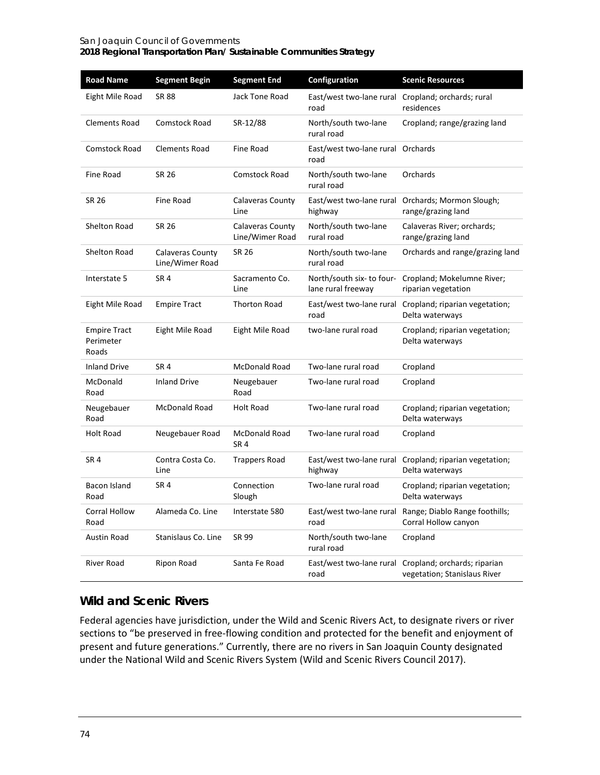| <b>Road Name</b>                          | <b>Segment Begin</b>                | <b>Segment End</b>                  | Configuration                                   | <b>Scenic Resources</b>                                                         |
|-------------------------------------------|-------------------------------------|-------------------------------------|-------------------------------------------------|---------------------------------------------------------------------------------|
| Eight Mile Road                           | SR 88                               | Jack Tone Road                      | road                                            | East/west two-lane rural Cropland; orchards; rural<br>residences                |
| Clements Road                             | <b>Comstock Road</b>                | SR-12/88                            | North/south two-lane<br>rural road              | Cropland; range/grazing land                                                    |
| <b>Comstock Road</b>                      | <b>Clements Road</b>                | Fine Road                           | East/west two-lane rural Orchards<br>road       |                                                                                 |
| Fine Road                                 | SR 26                               | Comstock Road                       | North/south two-lane<br>rural road              | Orchards                                                                        |
| SR 26                                     | Fine Road                           | Calaveras County<br>Line            | East/west two-lane rural<br>highway             | Orchards; Mormon Slough;<br>range/grazing land                                  |
| <b>Shelton Road</b>                       | SR 26                               | Calaveras County<br>Line/Wimer Road | North/south two-lane<br>rural road              | Calaveras River; orchards;<br>range/grazing land                                |
| Shelton Road                              | Calaveras County<br>Line/Wimer Road | SR 26                               | North/south two-lane<br>rural road              | Orchards and range/grazing land                                                 |
| Interstate 5                              | SR <sub>4</sub>                     | Sacramento Co.<br>Line              | North/south six- to four-<br>lane rural freeway | Cropland; Mokelumne River;<br>riparian vegetation                               |
| Eight Mile Road                           | <b>Empire Tract</b>                 | <b>Thorton Road</b>                 | road                                            | East/west two-lane rural Cropland; riparian vegetation;<br>Delta waterways      |
| <b>Empire Tract</b><br>Perimeter<br>Roads | Eight Mile Road                     | Eight Mile Road                     | two-lane rural road                             | Cropland; riparian vegetation;<br>Delta waterways                               |
| <b>Inland Drive</b>                       | SR <sub>4</sub>                     | McDonald Road                       | Two-lane rural road                             | Cropland                                                                        |
| McDonald<br>Road                          | <b>Inland Drive</b>                 | Neugebauer<br>Road                  | Two-lane rural road                             | Cropland                                                                        |
| Neugebauer<br>Road                        | McDonald Road                       | Holt Road                           | Two-lane rural road                             | Cropland; riparian vegetation;<br>Delta waterways                               |
| <b>Holt Road</b>                          | Neugebauer Road                     | <b>McDonald Road</b><br>SR 4        | Two-lane rural road                             | Cropland                                                                        |
| SR <sub>4</sub>                           | Contra Costa Co.<br>Line            | <b>Trappers Road</b>                | East/west two-lane rural<br>highway             | Cropland; riparian vegetation;<br>Delta waterways                               |
| Bacon Island<br>Road                      | SR <sub>4</sub>                     | Connection<br>Slough                | Two-lane rural road                             | Cropland; riparian vegetation;<br>Delta waterways                               |
| Corral Hollow<br>Road                     | Alameda Co. Line                    | Interstate 580                      | road                                            | East/west two-lane rural Range; Diablo Range foothills;<br>Corral Hollow canyon |
| Austin Road                               | Stanislaus Co. Line                 | SR 99                               | North/south two-lane<br>rural road              | Cropland                                                                        |
| <b>River Road</b>                         | Ripon Road                          | Santa Fe Road                       | East/west two-lane rural<br>road                | Cropland; orchards; riparian<br>vegetation; Stanislaus River                    |

## **Wild and Scenic Rivers**

Federal agencies have jurisdiction, under the Wild and Scenic Rivers Act, to designate rivers or river sections to "be preserved in free-flowing condition and protected for the benefit and enjoyment of present and future generations." Currently, there are no rivers in San Joaquin County designated under the National Wild and Scenic Rivers System (Wild and Scenic Rivers Council 2017).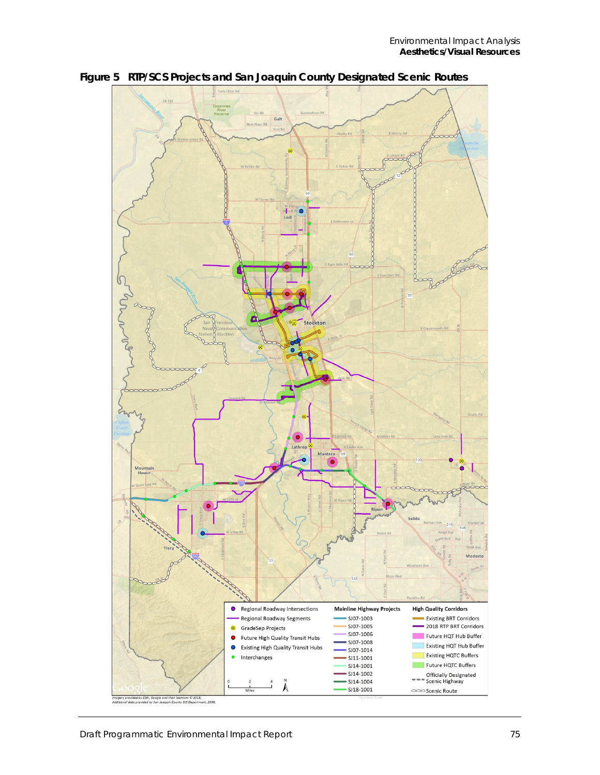

<span id="page-6-0"></span>**Figure 5 RTP/SCS Projects and San Joaquin County Designated Scenic Routes**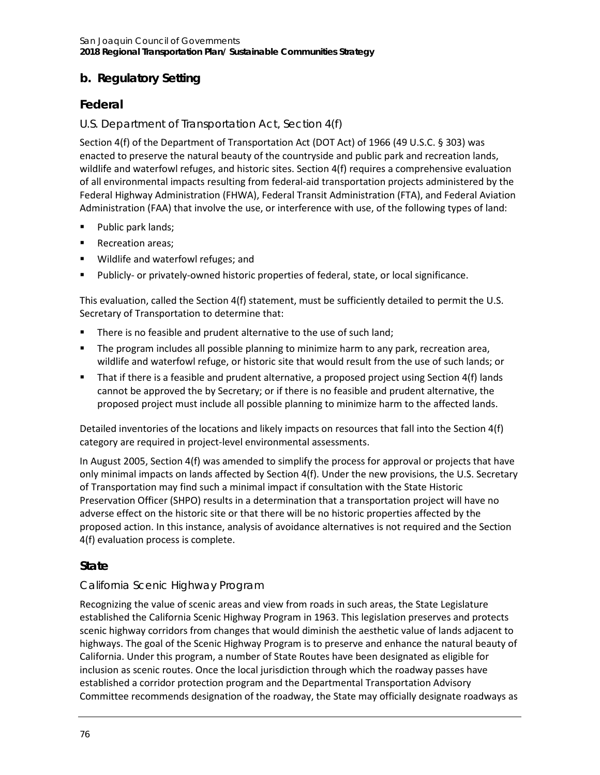# **b. Regulatory Setting**

# **Federal**

## *U.S. Department of Transportation Act, Section 4(f)*

Section 4(f) of the Department of Transportation Act (DOT Act) of 1966 (49 U.S.C. § 303) was enacted to preserve the natural beauty of the countryside and public park and recreation lands, wildlife and waterfowl refuges, and historic sites. Section 4(f) requires a comprehensive evaluation of all environmental impacts resulting from federal-aid transportation projects administered by the Federal Highway Administration (FHWA), Federal Transit Administration (FTA), and Federal Aviation Administration (FAA) that involve the use, or interference with use, of the following types of land:

- **Public park lands;**
- Recreation areas;
- **Wildlife and waterfowl refuges; and**
- Publicly- or privately-owned historic properties of federal, state, or local significance.

This evaluation, called the Section 4(f) statement, must be sufficiently detailed to permit the U.S. Secretary of Transportation to determine that:

- There is no feasible and prudent alternative to the use of such land;
- **The program includes all possible planning to minimize harm to any park, recreation area,** wildlife and waterfowl refuge, or historic site that would result from the use of such lands; or
- That if there is a feasible and prudent alternative, a proposed project using Section 4(f) lands cannot be approved the by Secretary; or if there is no feasible and prudent alternative, the proposed project must include all possible planning to minimize harm to the affected lands.

Detailed inventories of the locations and likely impacts on resources that fall into the Section 4(f) category are required in project-level environmental assessments.

In August 2005, Section 4(f) was amended to simplify the process for approval or projects that have only minimal impacts on lands affected by Section 4(f). Under the new provisions, the U.S. Secretary of Transportation may find such a minimal impact if consultation with the State Historic Preservation Officer (SHPO) results in a determination that a transportation project will have no adverse effect on the historic site or that there will be no historic properties affected by the proposed action. In this instance, analysis of avoidance alternatives is not required and the Section 4(f) evaluation process is complete.

## **State**

### *California Scenic Highway Program*

Recognizing the value of scenic areas and view from roads in such areas, the State Legislature established the California Scenic Highway Program in 1963. This legislation preserves and protects scenic highway corridors from changes that would diminish the aesthetic value of lands adjacent to highways. The goal of the Scenic Highway Program is to preserve and enhance the natural beauty of California. Under this program, a number of State Routes have been designated as eligible for inclusion as scenic routes. Once the local jurisdiction through which the roadway passes have established a corridor protection program and the Departmental Transportation Advisory Committee recommends designation of the roadway, the State may officially designate roadways as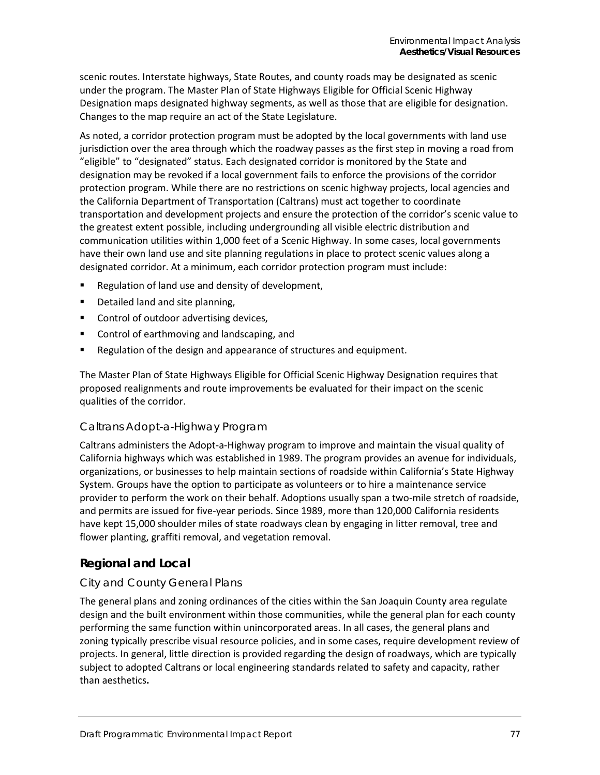scenic routes. Interstate highways, State Routes, and county roads may be designated as scenic under the program. The Master Plan of State Highways Eligible for Official Scenic Highway Designation maps designated highway segments, as well as those that are eligible for designation. Changes to the map require an act of the State Legislature.

As noted, a corridor protection program must be adopted by the local governments with land use jurisdiction over the area through which the roadway passes as the first step in moving a road from "eligible" to "designated" status. Each designated corridor is monitored by the State and designation may be revoked if a local government fails to enforce the provisions of the corridor protection program. While there are no restrictions on scenic highway projects, local agencies and the California Department of Transportation (Caltrans) must act together to coordinate transportation and development projects and ensure the protection of the corridor's scenic value to the greatest extent possible, including undergrounding all visible electric distribution and communication utilities within 1,000 feet of a Scenic Highway. In some cases, local governments have their own land use and site planning regulations in place to protect scenic values along a designated corridor. At a minimum, each corridor protection program must include:

- Regulation of land use and density of development,
- **Detailed land and site planning,**
- **Control of outdoor advertising devices,**
- **EXECONTROL** Control of earthmoving and landscaping, and
- **Regulation of the design and appearance of structures and equipment.**

The Master Plan of State Highways Eligible for Official Scenic Highway Designation requires that proposed realignments and route improvements be evaluated for their impact on the scenic qualities of the corridor.

### *Caltrans Adopt-a-Highway Program*

Caltrans administers the Adopt-a-Highway program to improve and maintain the visual quality of California highways which was established in 1989. The program provides an avenue for individuals, organizations, or businesses to help maintain sections of roadside within California's State Highway System. Groups have the option to participate as volunteers or to hire a maintenance service provider to perform the work on their behalf. Adoptions usually span a two-mile stretch of roadside, and permits are issued for five-year periods. Since 1989, more than 120,000 California residents have kept 15,000 shoulder miles of state roadways clean by engaging in litter removal, tree and flower planting, graffiti removal, and vegetation removal.

### **Regional and Local**

### *City and County General Plans*

The general plans and zoning ordinances of the cities within the San Joaquin County area regulate design and the built environment within those communities, while the general plan for each county performing the same function within unincorporated areas. In all cases, the general plans and zoning typically prescribe visual resource policies, and in some cases, require development review of projects. In general, little direction is provided regarding the design of roadways, which are typically subject to adopted Caltrans or local engineering standards related to safety and capacity, rather than aesthetics**.**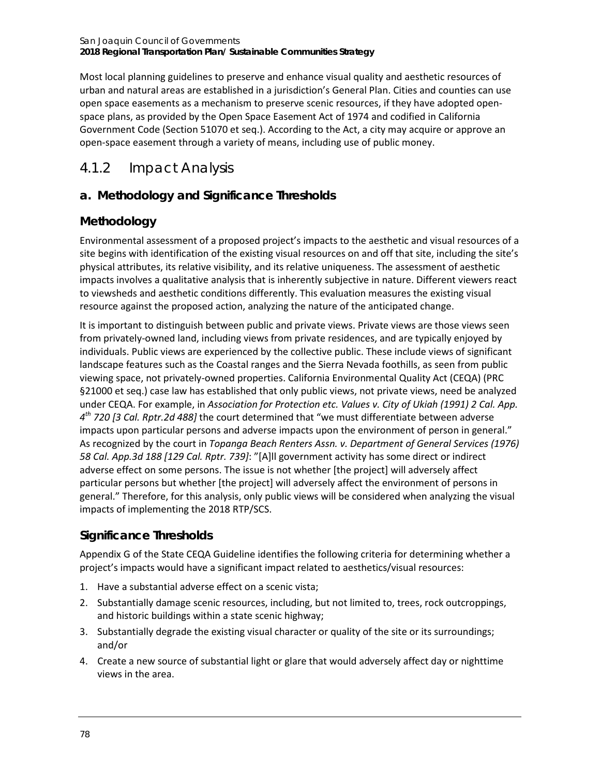Most local planning guidelines to preserve and enhance visual quality and aesthetic resources of urban and natural areas are established in a jurisdiction's General Plan. Cities and counties can use open space easements as a mechanism to preserve scenic resources, if they have adopted openspace plans, as provided by the Open Space Easement Act of 1974 and codified in California Government Code (Section 51070 et seq.). According to the Act, a city may acquire or approve an open-space easement through a variety of means, including use of public money.

# 4.1.2 Impact Analysis

## **a. Methodology and Significance Thresholds**

## **Methodology**

Environmental assessment of a proposed project's impacts to the aesthetic and visual resources of a site begins with identification of the existing visual resources on and off that site, including the site's physical attributes, its relative visibility, and its relative uniqueness. The assessment of aesthetic impacts involves a qualitative analysis that is inherently subjective in nature. Different viewers react to viewsheds and aesthetic conditions differently. This evaluation measures the existing visual resource against the proposed action, analyzing the nature of the anticipated change.

It is important to distinguish between public and private views. Private views are those views seen from privately-owned land, including views from private residences, and are typically enjoyed by individuals. Public views are experienced by the collective public. These include views of significant landscape features such as the Coastal ranges and the Sierra Nevada foothills, as seen from public viewing space, not privately-owned properties. California Environmental Quality Act (CEQA) (PRC §21000 et seq.) case law has established that only public views, not private views, need be analyzed under CEQA. For example, in *Association for Protection etc. Values v. City of Ukiah (1991) 2 Cal. App. 4th 720 [3 Cal. Rptr.2d 488]* the court determined that "we must differentiate between adverse impacts upon particular persons and adverse impacts upon the environment of person in general." As recognized by the court in *Topanga Beach Renters Assn. v. Department of General Services (1976) 58 Cal. App.3d 188 [129 Cal. Rptr. 739]*: "[A]ll government activity has some direct or indirect adverse effect on some persons. The issue is not whether [the project] will adversely affect particular persons but whether [the project] will adversely affect the environment of persons in general." Therefore, for this analysis, only public views will be considered when analyzing the visual impacts of implementing the 2018 RTP/SCS.

## **Significance Thresholds**

Appendix G of the State CEQA Guideline identifies the following criteria for determining whether a project's impacts would have a significant impact related to aesthetics/visual resources:

- 1. Have a substantial adverse effect on a scenic vista;
- 2. Substantially damage scenic resources, including, but not limited to, trees, rock outcroppings, and historic buildings within a state scenic highway;
- 3. Substantially degrade the existing visual character or quality of the site or its surroundings; and/or
- 4. Create a new source of substantial light or glare that would adversely affect day or nighttime views in the area.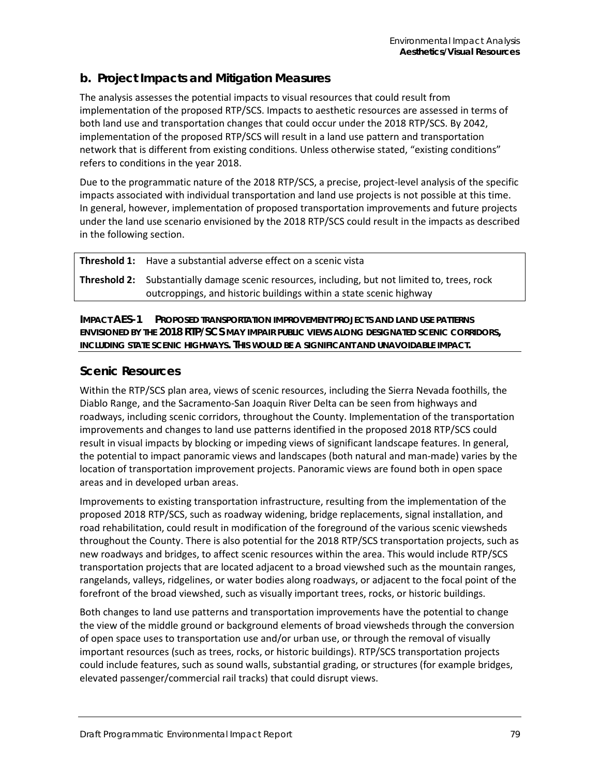## **b. Project Impacts and Mitigation Measures**

The analysis assesses the potential impacts to visual resources that could result from implementation of the proposed RTP/SCS. Impacts to aesthetic resources are assessed in terms of both land use and transportation changes that could occur under the 2018 RTP/SCS. By 2042, implementation of the proposed RTP/SCS will result in a land use pattern and transportation network that is different from existing conditions. Unless otherwise stated, "existing conditions" refers to conditions in the year 2018.

Due to the programmatic nature of the 2018 RTP/SCS, a precise, project-level analysis of the specific impacts associated with individual transportation and land use projects is not possible at this time. In general, however, implementation of proposed transportation improvements and future projects under the land use scenario envisioned by the 2018 RTP/SCS could result in the impacts as described in the following section.

| <b>Threshold 1:</b> Have a substantial adverse effect on a scenic vista                               |
|-------------------------------------------------------------------------------------------------------|
| <b>Threshold 2:</b> Substantially damage scenic resources, including, but not limited to, trees, rock |
| outcroppings, and historic buildings within a state scenic highway                                    |

**IMPACT AES-1 PROPOSED TRANSPORTATION IMPROVEMENT PROJECTS AND LAND USE PATTERNS ENVISIONED BY THE 2018 RTP/SCS MAY IMPAIR PUBLIC VIEWS ALONG DESIGNATED SCENIC CORRIDORS, INCLUDING STATE SCENIC HIGHWAYS. THIS WOULD BE A SIGNIFICANT AND UNAVOIDABLE IMPACT.**

### **Scenic Resources**

Within the RTP/SCS plan area, views of scenic resources, including the Sierra Nevada foothills, the Diablo Range, and the Sacramento-San Joaquin River Delta can be seen from highways and roadways, including scenic corridors, throughout the County. Implementation of the transportation improvements and changes to land use patterns identified in the proposed 2018 RTP/SCS could result in visual impacts by blocking or impeding views of significant landscape features. In general, the potential to impact panoramic views and landscapes (both natural and man-made) varies by the location of transportation improvement projects. Panoramic views are found both in open space areas and in developed urban areas.

Improvements to existing transportation infrastructure, resulting from the implementation of the proposed 2018 RTP/SCS, such as roadway widening, bridge replacements, signal installation, and road rehabilitation, could result in modification of the foreground of the various scenic viewsheds throughout the County. There is also potential for the 2018 RTP/SCS transportation projects, such as new roadways and bridges, to affect scenic resources within the area. This would include RTP/SCS transportation projects that are located adjacent to a broad viewshed such as the mountain ranges, rangelands, valleys, ridgelines, or water bodies along roadways, or adjacent to the focal point of the forefront of the broad viewshed, such as visually important trees, rocks, or historic buildings.

Both changes to land use patterns and transportation improvements have the potential to change the view of the middle ground or background elements of broad viewsheds through the conversion of open space uses to transportation use and/or urban use, or through the removal of visually important resources (such as trees, rocks, or historic buildings). RTP/SCS transportation projects could include features, such as sound walls, substantial grading, or structures (for example bridges, elevated passenger/commercial rail tracks) that could disrupt views.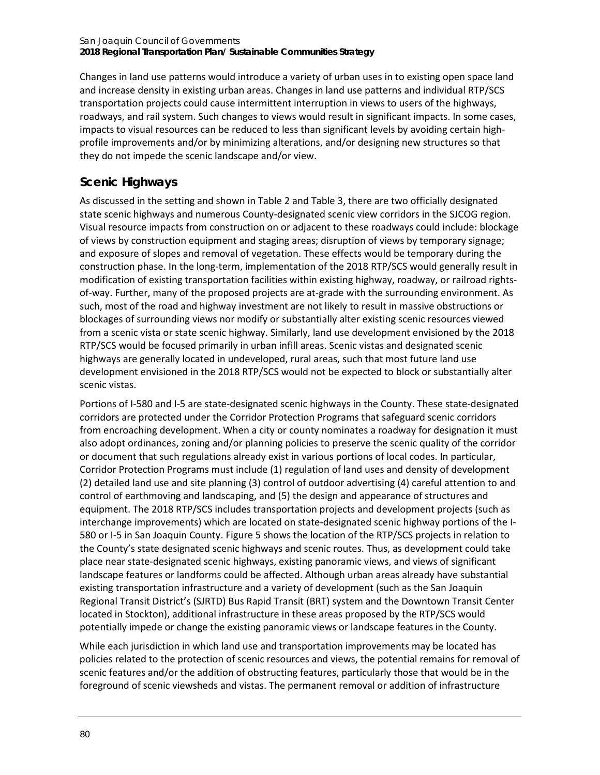Changes in land use patterns would introduce a variety of urban uses in to existing open space land and increase density in existing urban areas. Changes in land use patterns and individual RTP/SCS transportation projects could cause intermittent interruption in views to users of the highways, roadways, and rail system. Such changes to views would result in significant impacts. In some cases, impacts to visual resources can be reduced to less than significant levels by avoiding certain highprofile improvements and/or by minimizing alterations, and/or designing new structures so that they do not impede the scenic landscape and/or view.

# **Scenic Highways**

As discussed in the setting and shown i[n Table 2](#page-4-0) an[d Table 3,](#page-4-1) there are two officially designated state scenic highways and numerous County-designated scenic view corridors in the SJCOG region. Visual resource impacts from construction on or adjacent to these roadways could include: blockage of views by construction equipment and staging areas; disruption of views by temporary signage; and exposure of slopes and removal of vegetation. These effects would be temporary during the construction phase. In the long-term, implementation of the 2018 RTP/SCS would generally result in modification of existing transportation facilities within existing highway, roadway, or railroad rightsof-way. Further, many of the proposed projects are at-grade with the surrounding environment. As such, most of the road and highway investment are not likely to result in massive obstructions or blockages of surrounding views nor modify or substantially alter existing scenic resources viewed from a scenic vista or state scenic highway. Similarly, land use development envisioned by the 2018 RTP/SCS would be focused primarily in urban infill areas. Scenic vistas and designated scenic highways are generally located in undeveloped, rural areas, such that most future land use development envisioned in the 2018 RTP/SCS would not be expected to block or substantially alter scenic vistas.

Portions of I-580 and I-5 are state-designated scenic highways in the County. These state-designated corridors are protected under the Corridor Protection Programs that safeguard scenic corridors from encroaching development. When a city or county nominates a roadway for designation it must also adopt ordinances, zoning and/or planning policies to preserve the scenic quality of the corridor or document that such regulations already exist in various portions of local codes. In particular, Corridor Protection Programs must include (1) regulation of land uses and density of development (2) detailed land use and site planning (3) control of outdoor advertising (4) careful attention to and control of earthmoving and landscaping, and (5) the design and appearance of structures and equipment. The 2018 RTP/SCS includes transportation projects and development projects (such as interchange improvements) which are located on state-designated scenic highway portions of the I-580 or I-5 in San Joaquin County. [Figure 5](#page-6-0) shows the location of the RTP/SCS projects in relation to the County's state designated scenic highways and scenic routes. Thus, as development could take place near state-designated scenic highways, existing panoramic views, and views of significant landscape features or landforms could be affected. Although urban areas already have substantial existing transportation infrastructure and a variety of development (such as the San Joaquin Regional Transit District's (SJRTD) Bus Rapid Transit (BRT) system and the Downtown Transit Center located in Stockton), additional infrastructure in these areas proposed by the RTP/SCS would potentially impede or change the existing panoramic views or landscape features in the County.

While each jurisdiction in which land use and transportation improvements may be located has policies related to the protection of scenic resources and views, the potential remains for removal of scenic features and/or the addition of obstructing features, particularly those that would be in the foreground of scenic viewsheds and vistas. The permanent removal or addition of infrastructure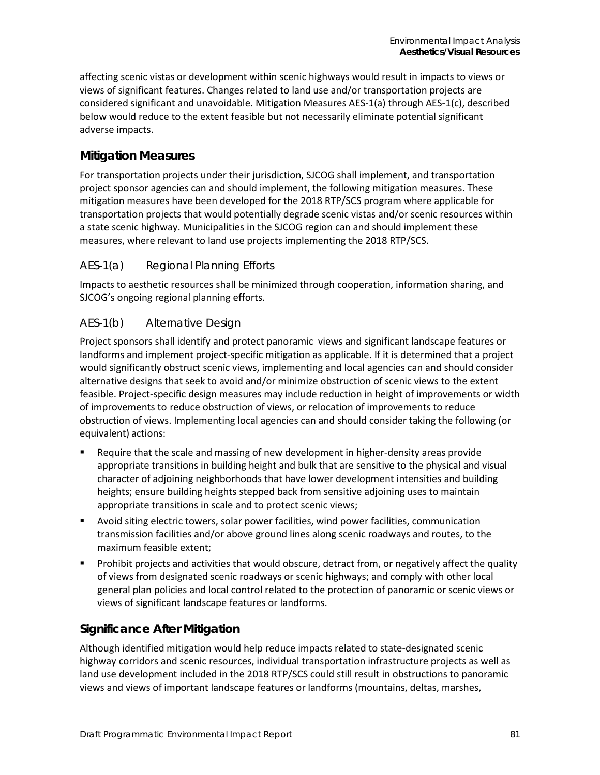affecting scenic vistas or development within scenic highways would result in impacts to views or views of significant features. Changes related to land use and/or transportation projects are considered significant and unavoidable. Mitigation Measures AES-1(a) through AES-1(c), described below would reduce to the extent feasible but not necessarily eliminate potential significant adverse impacts.

## **Mitigation Measures**

For transportation projects under their jurisdiction, SJCOG shall implement, and transportation project sponsor agencies can and should implement, the following mitigation measures. These mitigation measures have been developed for the 2018 RTP/SCS program where applicable for transportation projects that would potentially degrade scenic vistas and/or scenic resources within a state scenic highway. Municipalities in the SJCOG region can and should implement these measures, where relevant to land use projects implementing the 2018 RTP/SCS.

### *AES-1(a) Regional Planning Efforts*

Impacts to aesthetic resources shall be minimized through cooperation, information sharing, and SJCOG's ongoing regional planning efforts.

### *AES-1(b) Alternative Design*

Project sponsors shall identify and protect panoramic views and significant landscape features or landforms and implement project-specific mitigation as applicable. If it is determined that a project would significantly obstruct scenic views, implementing and local agencies can and should consider alternative designs that seek to avoid and/or minimize obstruction of scenic views to the extent feasible. Project-specific design measures may include reduction in height of improvements or width of improvements to reduce obstruction of views, or relocation of improvements to reduce obstruction of views. Implementing local agencies can and should consider taking the following (or equivalent) actions:

- Require that the scale and massing of new development in higher-density areas provide appropriate transitions in building height and bulk that are sensitive to the physical and visual character of adjoining neighborhoods that have lower development intensities and building heights; ensure building heights stepped back from sensitive adjoining uses to maintain appropriate transitions in scale and to protect scenic views;
- Avoid siting electric towers, solar power facilities, wind power facilities, communication transmission facilities and/or above ground lines along scenic roadways and routes, to the maximum feasible extent;
- Prohibit projects and activities that would obscure, detract from, or negatively affect the quality of views from designated scenic roadways or scenic highways; and comply with other local general plan policies and local control related to the protection of panoramic or scenic views or views of significant landscape features or landforms.

### **Significance After Mitigation**

Although identified mitigation would help reduce impacts related to state-designated scenic highway corridors and scenic resources, individual transportation infrastructure projects as well as land use development included in the 2018 RTP/SCS could still result in obstructions to panoramic views and views of important landscape features or landforms (mountains, deltas, marshes,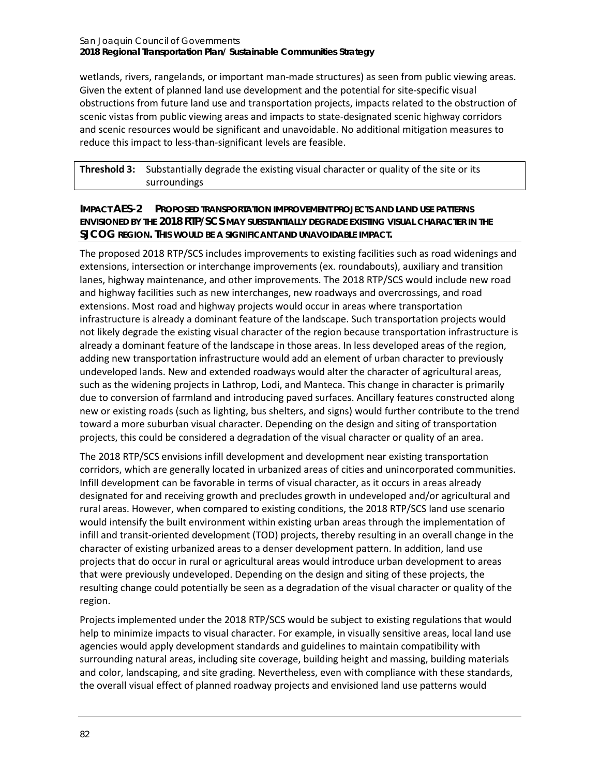wetlands, rivers, rangelands, or important man-made structures) as seen from public viewing areas. Given the extent of planned land use development and the potential for site-specific visual obstructions from future land use and transportation projects, impacts related to the obstruction of scenic vistas from public viewing areas and impacts to state-designated scenic highway corridors and scenic resources would be significant and unavoidable. No additional mitigation measures to reduce this impact to less-than-significant levels are feasible.

**Threshold 3:** Substantially degrade the existing visual character or quality of the site or its surroundings

### **IMPACT AES-2 PROPOSED TRANSPORTATION IMPROVEMENT PROJECTS AND LAND USE PATTERNS ENVISIONED BY THE 2018 RTP/SCS MAY SUBSTANTIALLY DEGRADE EXISTING VISUAL CHARACTER IN THE SJCOG REGION. THIS WOULD BE A SIGNIFICANT AND UNAVOIDABLE IMPACT.**

The proposed 2018 RTP/SCS includes improvements to existing facilities such as road widenings and extensions, intersection or interchange improvements (ex. roundabouts), auxiliary and transition lanes, highway maintenance, and other improvements. The 2018 RTP/SCS would include new road and highway facilities such as new interchanges, new roadways and overcrossings, and road extensions. Most road and highway projects would occur in areas where transportation infrastructure is already a dominant feature of the landscape. Such transportation projects would not likely degrade the existing visual character of the region because transportation infrastructure is already a dominant feature of the landscape in those areas. In less developed areas of the region, adding new transportation infrastructure would add an element of urban character to previously undeveloped lands. New and extended roadways would alter the character of agricultural areas, such as the widening projects in Lathrop, Lodi, and Manteca. This change in character is primarily due to conversion of farmland and introducing paved surfaces. Ancillary features constructed along new or existing roads (such as lighting, bus shelters, and signs) would further contribute to the trend toward a more suburban visual character. Depending on the design and siting of transportation projects, this could be considered a degradation of the visual character or quality of an area.

The 2018 RTP/SCS envisions infill development and development near existing transportation corridors, which are generally located in urbanized areas of cities and unincorporated communities. Infill development can be favorable in terms of visual character, as it occurs in areas already designated for and receiving growth and precludes growth in undeveloped and/or agricultural and rural areas. However, when compared to existing conditions, the 2018 RTP/SCS land use scenario would intensify the built environment within existing urban areas through the implementation of infill and transit-oriented development (TOD) projects, thereby resulting in an overall change in the character of existing urbanized areas to a denser development pattern. In addition, land use projects that do occur in rural or agricultural areas would introduce urban development to areas that were previously undeveloped. Depending on the design and siting of these projects, the resulting change could potentially be seen as a degradation of the visual character or quality of the region.

Projects implemented under the 2018 RTP/SCS would be subject to existing regulations that would help to minimize impacts to visual character. For example, in visually sensitive areas, local land use agencies would apply development standards and guidelines to maintain compatibility with surrounding natural areas, including site coverage, building height and massing, building materials and color, landscaping, and site grading. Nevertheless, even with compliance with these standards, the overall visual effect of planned roadway projects and envisioned land use patterns would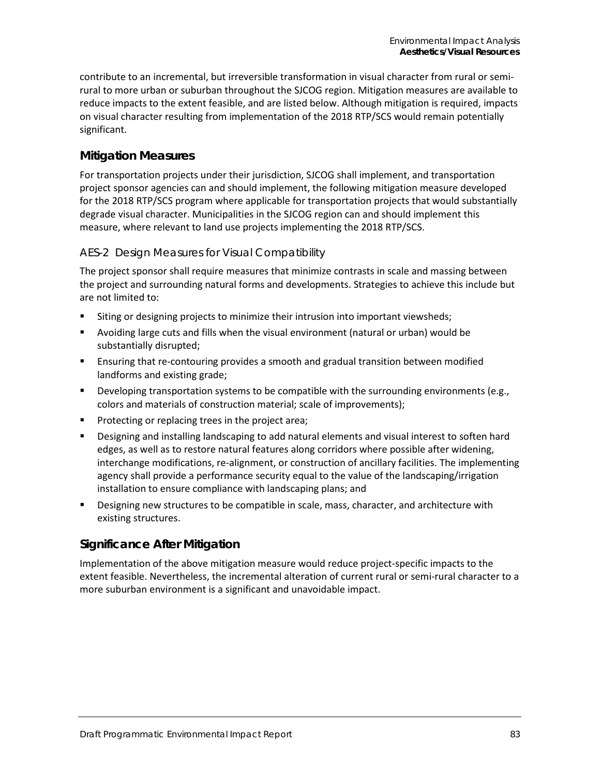contribute to an incremental, but irreversible transformation in visual character from rural or semirural to more urban or suburban throughout the SJCOG region. Mitigation measures are available to reduce impacts to the extent feasible, and are listed below. Although mitigation is required, impacts on visual character resulting from implementation of the 2018 RTP/SCS would remain potentially significant.

## **Mitigation Measures**

For transportation projects under their jurisdiction, SJCOG shall implement, and transportation project sponsor agencies can and should implement, the following mitigation measure developed for the 2018 RTP/SCS program where applicable for transportation projects that would substantially degrade visual character. Municipalities in the SJCOG region can and should implement this measure, where relevant to land use projects implementing the 2018 RTP/SCS.

### *AES-2 Design Measures for Visual Compatibility*

The project sponsor shall require measures that minimize contrasts in scale and massing between the project and surrounding natural forms and developments. Strategies to achieve this include but are not limited to:

- **Siting or designing projects to minimize their intrusion into important viewsheds;**
- Avoiding large cuts and fills when the visual environment (natural or urban) would be substantially disrupted;
- Ensuring that re-contouring provides a smooth and gradual transition between modified landforms and existing grade;
- **Developing transportation systems to be compatible with the surrounding environments (e.g.,** colors and materials of construction material; scale of improvements);
- **Protecting or replacing trees in the project area;**
- Designing and installing landscaping to add natural elements and visual interest to soften hard edges, as well as to restore natural features along corridors where possible after widening, interchange modifications, re-alignment, or construction of ancillary facilities. The implementing agency shall provide a performance security equal to the value of the landscaping/irrigation installation to ensure compliance with landscaping plans; and
- Designing new structures to be compatible in scale, mass, character, and architecture with existing structures.

### **Significance After Mitigation**

Implementation of the above mitigation measure would reduce project-specific impacts to the extent feasible. Nevertheless, the incremental alteration of current rural or semi-rural character to a more suburban environment is a significant and unavoidable impact.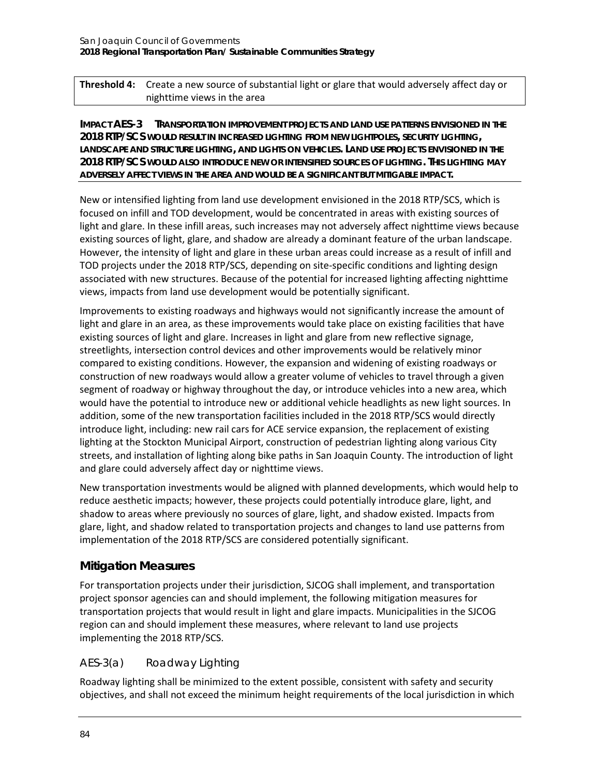**Threshold 4:** Create a new source of substantial light or glare that would adversely affect day or nighttime views in the area

**IMPACT AES-3 TRANSPORTATION IMPROVEMENT PROJECTS AND LAND USE PATTERNS ENVISIONED IN THE 2018 RTP/SCS WOULD RESULT IN INCREASED LIGHTING FROM NEW LIGHTPOLES, SECURITY LIGHTING, LANDSCAPE AND STRUCTURE LIGHTING, AND LIGHTS ON VEHICLES. LAND USE PROJECTS ENVISIONED IN THE 2018 RTP/SCS WOULD ALSO INTRODUCE NEW OR INTENSIFIED SOURCES OF LIGHTING. THIS LIGHTING MAY ADVERSELY AFFECT VIEWS IN THE AREA AND WOULD BE A SIGNIFICANT BUT MITIGABLE IMPACT.**

New or intensified lighting from land use development envisioned in the 2018 RTP/SCS, which is focused on infill and TOD development, would be concentrated in areas with existing sources of light and glare. In these infill areas, such increases may not adversely affect nighttime views because existing sources of light, glare, and shadow are already a dominant feature of the urban landscape. However, the intensity of light and glare in these urban areas could increase as a result of infill and TOD projects under the 2018 RTP/SCS, depending on site-specific conditions and lighting design associated with new structures. Because of the potential for increased lighting affecting nighttime views, impacts from land use development would be potentially significant.

Improvements to existing roadways and highways would not significantly increase the amount of light and glare in an area, as these improvements would take place on existing facilities that have existing sources of light and glare. Increases in light and glare from new reflective signage, streetlights, intersection control devices and other improvements would be relatively minor compared to existing conditions. However, the expansion and widening of existing roadways or construction of new roadways would allow a greater volume of vehicles to travel through a given segment of roadway or highway throughout the day, or introduce vehicles into a new area, which would have the potential to introduce new or additional vehicle headlights as new light sources. In addition, some of the new transportation facilities included in the 2018 RTP/SCS would directly introduce light, including: new rail cars for ACE service expansion, the replacement of existing lighting at the Stockton Municipal Airport, construction of pedestrian lighting along various City streets, and installation of lighting along bike paths in San Joaquin County. The introduction of light and glare could adversely affect day or nighttime views.

New transportation investments would be aligned with planned developments, which would help to reduce aesthetic impacts; however, these projects could potentially introduce glare, light, and shadow to areas where previously no sources of glare, light, and shadow existed. Impacts from glare, light, and shadow related to transportation projects and changes to land use patterns from implementation of the 2018 RTP/SCS are considered potentially significant.

### **Mitigation Measures**

For transportation projects under their jurisdiction, SJCOG shall implement, and transportation project sponsor agencies can and should implement, the following mitigation measures for transportation projects that would result in light and glare impacts. Municipalities in the SJCOG region can and should implement these measures, where relevant to land use projects implementing the 2018 RTP/SCS.

### *AES-3(a) Roadway Lighting*

Roadway lighting shall be minimized to the extent possible, consistent with safety and security objectives, and shall not exceed the minimum height requirements of the local jurisdiction in which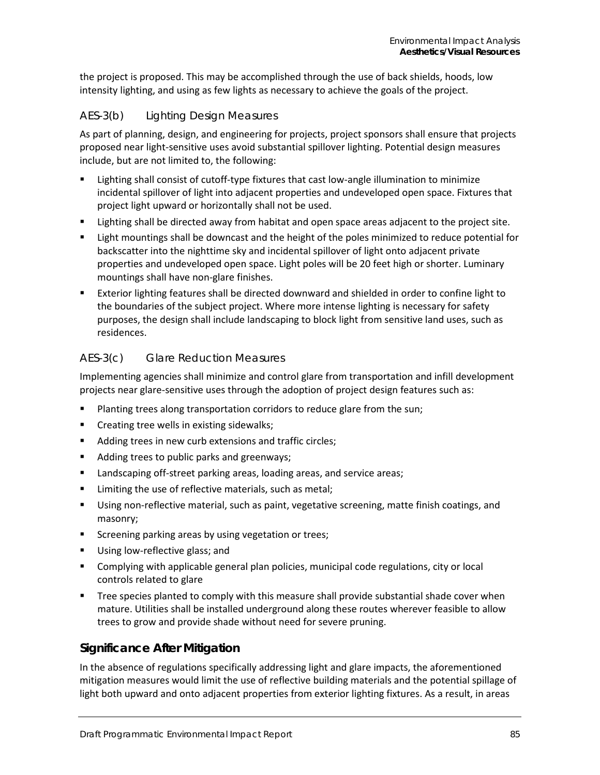the project is proposed. This may be accomplished through the use of back shields, hoods, low intensity lighting, and using as few lights as necessary to achieve the goals of the project.

### *AES-3(b) Lighting Design Measures*

As part of planning, design, and engineering for projects, project sponsors shall ensure that projects proposed near light-sensitive uses avoid substantial spillover lighting. Potential design measures include, but are not limited to, the following:

- Lighting shall consist of cutoff-type fixtures that cast low-angle illumination to minimize incidental spillover of light into adjacent properties and undeveloped open space. Fixtures that project light upward or horizontally shall not be used.
- Lighting shall be directed away from habitat and open space areas adjacent to the project site.
- Light mountings shall be downcast and the height of the poles minimized to reduce potential for backscatter into the nighttime sky and incidental spillover of light onto adjacent private properties and undeveloped open space. Light poles will be 20 feet high or shorter. Luminary mountings shall have non-glare finishes.
- Exterior lighting features shall be directed downward and shielded in order to confine light to the boundaries of the subject project. Where more intense lighting is necessary for safety purposes, the design shall include landscaping to block light from sensitive land uses, such as residences.

### *AES-3(c) Glare Reduction Measures*

Implementing agencies shall minimize and control glare from transportation and infill development projects near glare-sensitive uses through the adoption of project design features such as:

- Planting trees along transportation corridors to reduce glare from the sun;
- **•** Creating tree wells in existing sidewalks;
- Adding trees in new curb extensions and traffic circles;
- Adding trees to public parks and greenways;
- **EXEDENT Landscaping off-street parking areas, loading areas, and service areas;**
- Limiting the use of reflective materials, such as metal;
- Using non-reflective material, such as paint, vegetative screening, matte finish coatings, and masonry;
- **Screening parking areas by using vegetation or trees;**
- Using low-reflective glass; and
- Complying with applicable general plan policies, municipal code regulations, city or local controls related to glare
- **Tree species planted to comply with this measure shall provide substantial shade cover when** mature. Utilities shall be installed underground along these routes wherever feasible to allow trees to grow and provide shade without need for severe pruning.

### **Significance After Mitigation**

In the absence of regulations specifically addressing light and glare impacts, the aforementioned mitigation measures would limit the use of reflective building materials and the potential spillage of light both upward and onto adjacent properties from exterior lighting fixtures. As a result, in areas